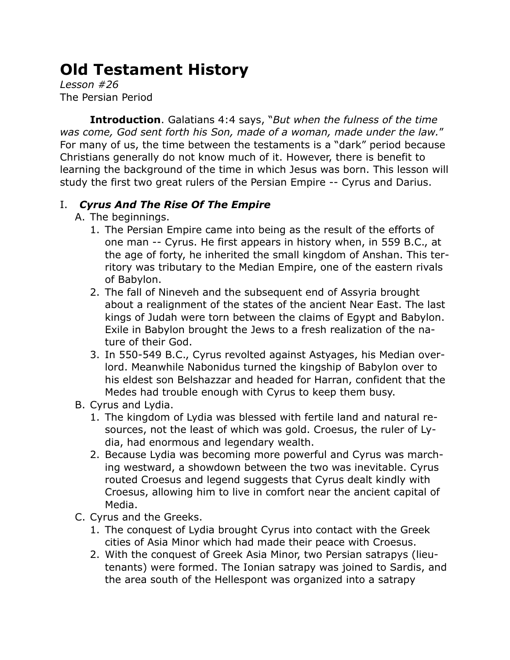## **Old Testament History**

*Lesson #26* The Persian Period

**Introduction**. Galatians 4:4 says, "*But when the fulness of the time was come, God sent forth his Son, made of a woman, made under the law.*" For many of us, the time between the testaments is a "dark" period because Christians generally do not know much of it. However, there is benefit to learning the background of the time in which Jesus was born. This lesson will study the first two great rulers of the Persian Empire -- Cyrus and Darius.

## I. *Cyrus And The Rise Of The Empire*

- A. The beginnings.
	- 1. The Persian Empire came into being as the result of the efforts of one man -- Cyrus. He first appears in history when, in 559 B.C., at the age of forty, he inherited the small kingdom of Anshan. This territory was tributary to the Median Empire, one of the eastern rivals of Babylon.
	- 2. The fall of Nineveh and the subsequent end of Assyria brought about a realignment of the states of the ancient Near East. The last kings of Judah were torn between the claims of Egypt and Babylon. Exile in Babylon brought the Jews to a fresh realization of the nature of their God.
	- 3. In 550-549 B.C., Cyrus revolted against Astyages, his Median overlord. Meanwhile Nabonidus turned the kingship of Babylon over to his eldest son Belshazzar and headed for Harran, confident that the Medes had trouble enough with Cyrus to keep them busy.
- B. Cyrus and Lydia.
	- 1. The kingdom of Lydia was blessed with fertile land and natural resources, not the least of which was gold. Croesus, the ruler of Lydia, had enormous and legendary wealth.
	- 2. Because Lydia was becoming more powerful and Cyrus was marching westward, a showdown between the two was inevitable. Cyrus routed Croesus and legend suggests that Cyrus dealt kindly with Croesus, allowing him to live in comfort near the ancient capital of Media.
- C. Cyrus and the Greeks.
	- 1. The conquest of Lydia brought Cyrus into contact with the Greek cities of Asia Minor which had made their peace with Croesus.
	- 2. With the conquest of Greek Asia Minor, two Persian satrapys (lieutenants) were formed. The Ionian satrapy was joined to Sardis, and the area south of the Hellespont was organized into a satrapy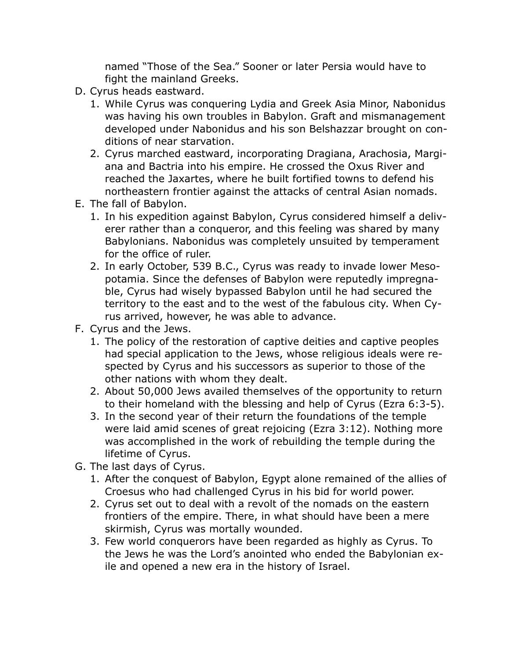named "Those of the Sea." Sooner or later Persia would have to fight the mainland Greeks.

- D. Cyrus heads eastward.
	- 1. While Cyrus was conquering Lydia and Greek Asia Minor, Nabonidus was having his own troubles in Babylon. Graft and mismanagement developed under Nabonidus and his son Belshazzar brought on conditions of near starvation.
	- 2. Cyrus marched eastward, incorporating Dragiana, Arachosia, Margiana and Bactria into his empire. He crossed the Oxus River and reached the Jaxartes, where he built fortified towns to defend his northeastern frontier against the attacks of central Asian nomads.
- E. The fall of Babylon.
	- 1. In his expedition against Babylon, Cyrus considered himself a deliverer rather than a conqueror, and this feeling was shared by many Babylonians. Nabonidus was completely unsuited by temperament for the office of ruler.
	- 2. In early October, 539 B.C., Cyrus was ready to invade lower Mesopotamia. Since the defenses of Babylon were reputedly impregnable, Cyrus had wisely bypassed Babylon until he had secured the territory to the east and to the west of the fabulous city. When Cyrus arrived, however, he was able to advance.
- F. Cyrus and the Jews.
	- 1. The policy of the restoration of captive deities and captive peoples had special application to the Jews, whose religious ideals were respected by Cyrus and his successors as superior to those of the other nations with whom they dealt.
	- 2. About 50,000 Jews availed themselves of the opportunity to return to their homeland with the blessing and help of Cyrus (Ezra 6:3-5).
	- 3. In the second year of their return the foundations of the temple were laid amid scenes of great rejoicing (Ezra 3:12). Nothing more was accomplished in the work of rebuilding the temple during the lifetime of Cyrus.
- G. The last days of Cyrus.
	- 1. After the conquest of Babylon, Egypt alone remained of the allies of Croesus who had challenged Cyrus in his bid for world power.
	- 2. Cyrus set out to deal with a revolt of the nomads on the eastern frontiers of the empire. There, in what should have been a mere skirmish, Cyrus was mortally wounded.
	- 3. Few world conquerors have been regarded as highly as Cyrus. To the Jews he was the Lord's anointed who ended the Babylonian exile and opened a new era in the history of Israel.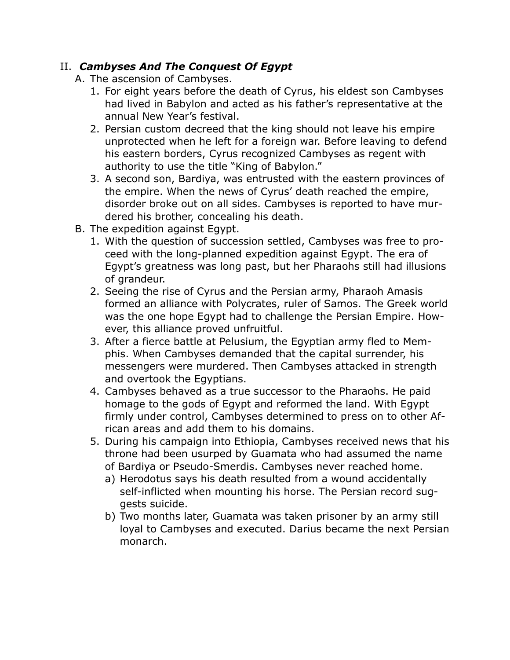## II. *Cambyses And The Conquest Of Egypt*

- A. The ascension of Cambyses.
	- 1. For eight years before the death of Cyrus, his eldest son Cambyses had lived in Babylon and acted as his father's representative at the annual New Year's festival.
	- 2. Persian custom decreed that the king should not leave his empire unprotected when he left for a foreign war. Before leaving to defend his eastern borders, Cyrus recognized Cambyses as regent with authority to use the title "King of Babylon."
	- 3. A second son, Bardiya, was entrusted with the eastern provinces of the empire. When the news of Cyrus' death reached the empire, disorder broke out on all sides. Cambyses is reported to have murdered his brother, concealing his death.
- B. The expedition against Egypt.
	- 1. With the question of succession settled, Cambyses was free to proceed with the long-planned expedition against Egypt. The era of Egypt's greatness was long past, but her Pharaohs still had illusions of grandeur.
	- 2. Seeing the rise of Cyrus and the Persian army, Pharaoh Amasis formed an alliance with Polycrates, ruler of Samos. The Greek world was the one hope Egypt had to challenge the Persian Empire. However, this alliance proved unfruitful.
	- 3. After a fierce battle at Pelusium, the Egyptian army fled to Memphis. When Cambyses demanded that the capital surrender, his messengers were murdered. Then Cambyses attacked in strength and overtook the Egyptians.
	- 4. Cambyses behaved as a true successor to the Pharaohs. He paid homage to the gods of Egypt and reformed the land. With Egypt firmly under control, Cambyses determined to press on to other African areas and add them to his domains.
	- 5. During his campaign into Ethiopia, Cambyses received news that his throne had been usurped by Guamata who had assumed the name of Bardiya or Pseudo-Smerdis. Cambyses never reached home.
		- a) Herodotus says his death resulted from a wound accidentally self-inflicted when mounting his horse. The Persian record suggests suicide.
		- b) Two months later, Guamata was taken prisoner by an army still loyal to Cambyses and executed. Darius became the next Persian monarch.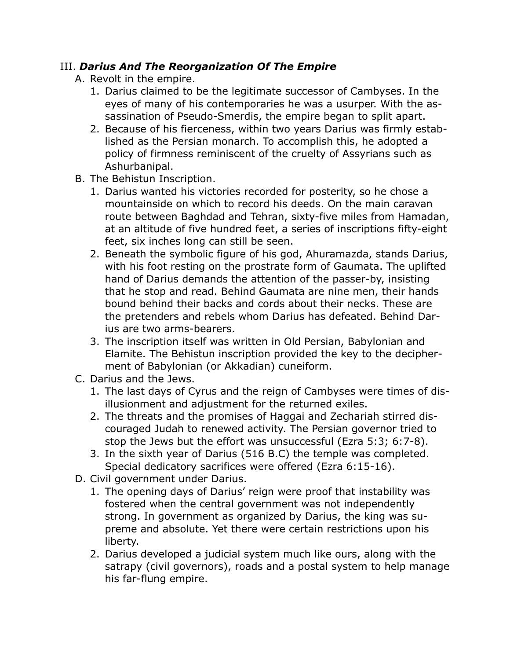## III. *Darius And The Reorganization Of The Empire*

- A. Revolt in the empire.
	- 1. Darius claimed to be the legitimate successor of Cambyses. In the eyes of many of his contemporaries he was a usurper. With the assassination of Pseudo-Smerdis, the empire began to split apart.
	- 2. Because of his fierceness, within two years Darius was firmly established as the Persian monarch. To accomplish this, he adopted a policy of firmness reminiscent of the cruelty of Assyrians such as Ashurbanipal.
- B. The Behistun Inscription.
	- 1. Darius wanted his victories recorded for posterity, so he chose a mountainside on which to record his deeds. On the main caravan route between Baghdad and Tehran, sixty-five miles from Hamadan, at an altitude of five hundred feet, a series of inscriptions fifty-eight feet, six inches long can still be seen.
	- 2. Beneath the symbolic figure of his god, Ahuramazda, stands Darius, with his foot resting on the prostrate form of Gaumata. The uplifted hand of Darius demands the attention of the passer-by, insisting that he stop and read. Behind Gaumata are nine men, their hands bound behind their backs and cords about their necks. These are the pretenders and rebels whom Darius has defeated. Behind Darius are two arms-bearers.
	- 3. The inscription itself was written in Old Persian, Babylonian and Elamite. The Behistun inscription provided the key to the decipherment of Babylonian (or Akkadian) cuneiform.
- C. Darius and the Jews.
	- 1. The last days of Cyrus and the reign of Cambyses were times of disillusionment and adjustment for the returned exiles.
	- 2. The threats and the promises of Haggai and Zechariah stirred discouraged Judah to renewed activity. The Persian governor tried to stop the Jews but the effort was unsuccessful (Ezra 5:3; 6:7-8).
	- 3. In the sixth year of Darius (516 B.C) the temple was completed. Special dedicatory sacrifices were offered (Ezra 6:15-16).
- D. Civil government under Darius.
	- 1. The opening days of Darius' reign were proof that instability was fostered when the central government was not independently strong. In government as organized by Darius, the king was supreme and absolute. Yet there were certain restrictions upon his liberty.
	- 2. Darius developed a judicial system much like ours, along with the satrapy (civil governors), roads and a postal system to help manage his far-flung empire.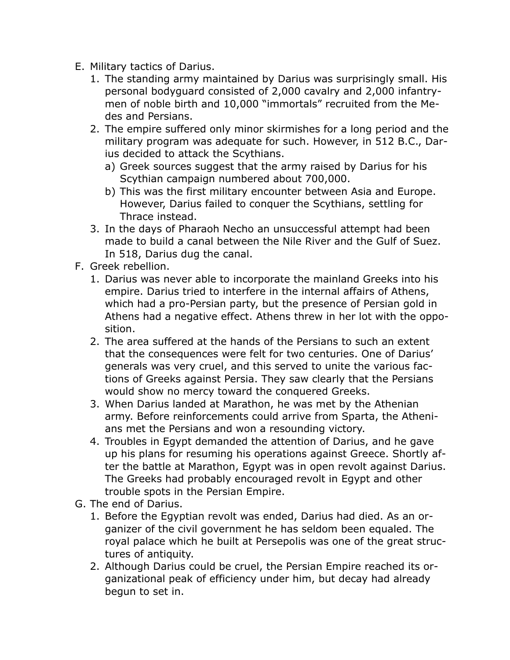- E. Military tactics of Darius.
	- 1. The standing army maintained by Darius was surprisingly small. His personal bodyguard consisted of 2,000 cavalry and 2,000 infantrymen of noble birth and 10,000 "immortals" recruited from the Medes and Persians.
	- 2. The empire suffered only minor skirmishes for a long period and the military program was adequate for such. However, in 512 B.C., Darius decided to attack the Scythians.
		- a) Greek sources suggest that the army raised by Darius for his Scythian campaign numbered about 700,000.
		- b) This was the first military encounter between Asia and Europe. However, Darius failed to conquer the Scythians, settling for Thrace instead.
	- 3. In the days of Pharaoh Necho an unsuccessful attempt had been made to build a canal between the Nile River and the Gulf of Suez. In 518, Darius dug the canal.
- F. Greek rebellion.
	- 1. Darius was never able to incorporate the mainland Greeks into his empire. Darius tried to interfere in the internal affairs of Athens, which had a pro-Persian party, but the presence of Persian gold in Athens had a negative effect. Athens threw in her lot with the opposition.
	- 2. The area suffered at the hands of the Persians to such an extent that the consequences were felt for two centuries. One of Darius' generals was very cruel, and this served to unite the various factions of Greeks against Persia. They saw clearly that the Persians would show no mercy toward the conquered Greeks.
	- 3. When Darius landed at Marathon, he was met by the Athenian army. Before reinforcements could arrive from Sparta, the Athenians met the Persians and won a resounding victory.
	- 4. Troubles in Egypt demanded the attention of Darius, and he gave up his plans for resuming his operations against Greece. Shortly after the battle at Marathon, Egypt was in open revolt against Darius. The Greeks had probably encouraged revolt in Egypt and other trouble spots in the Persian Empire.
- G. The end of Darius.
	- 1. Before the Egyptian revolt was ended, Darius had died. As an organizer of the civil government he has seldom been equaled. The royal palace which he built at Persepolis was one of the great structures of antiquity.
	- 2. Although Darius could be cruel, the Persian Empire reached its organizational peak of efficiency under him, but decay had already begun to set in.